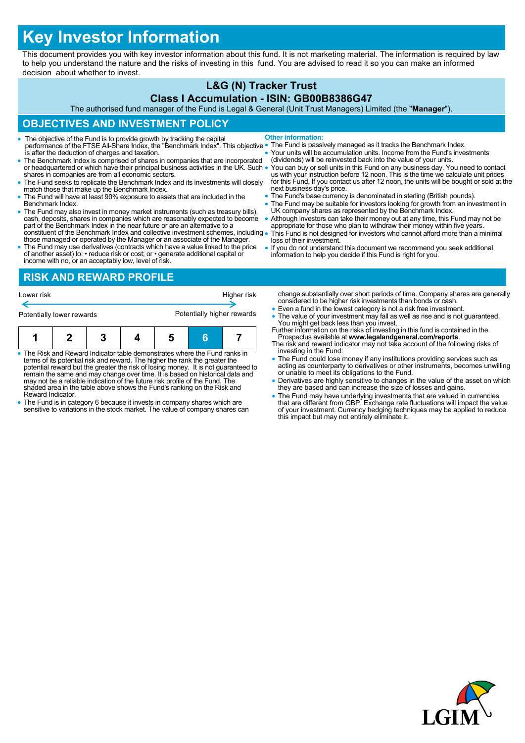# **Key Investor Information**

This document provides you with key investor information about this fund. It is not marketing material. The information is required by law to help you understand the nature and the risks of investing in this fund. You are advised to read it so you can make an informed decision about whether to invest.

## **L&G (N) Tracker Trust**

#### **Class I Accumulation - ISIN: GB00B8386G47**

The authorised fund manager of the Fund is Legal & General (Unit Trust Managers) Limited (the "**Manager**").

## **OBJECTIVES AND INVESTMENT POLICY**

- The objective of the Fund is to provide growth by tracking the capital performance of the FTSE All-Share Index, the "Benchmark Index". This objective is after the deduction of charges and taxation. **Other information:**
- The Benchmark Index is comprised of shares in companies that are incorporated or headquartered or which have their principal business activities in the UK. Such . shares in companies are from all economic sectors.
- The Fund seeks to replicate the Benchmark Index and its investments will closely match those that make up the Benchmark Index.
- The Fund will have at least 90% exposure to assets that are included in the Benchmark Index.
- The Fund may also invest in money market instruments (such as treasury bills), cash, deposits, shares in companies which are reasonably expected to become part of the Benchmark Index in the near future or are an alternat constituent of the Benchmark Index and collective investment schemes, including
- those managed or operated by the Manager or an associate of the Manager. The Fund may use derivatives (contracts which have a value linked to the price of another asset) to: • reduce risk or cost; or • generate additional capital or
- The Fund is passively managed as it tracks the Benchmark Index.
- Your units will be accumulation units. Income from the Fund's investments (dividends) will be reinvested back into the value of your units.
- You can buy or sell units in this Fund on any business day. You need to contact<br>us with your instruction before 12 noon. This is the time we calculate unit prices<br>for this Fund. If you contact us after 12 noon, the units next business day's price.
- The Fund's base currency is denominated in sterling (British pounds).
- The Fund may be suitable for investors looking for growth from an investment in UK company shares as represented by the Benchmark Index.
- Although investors can take their money out at any time, this Fund may not be appropriate for those who plan to withdraw their money within five years. This Fund is not designed for investors who cannot afford more than a minimal
- loss of their investment. If you do not understand this document we recommend you seek additional
- information to help you decide if this Fund is right for you.

income with no, or an acceptably low, level of risk. **RISK AND REWARD PROFILE**

| Lower risk                |  |   | Higher risk |                            |   |  |
|---------------------------|--|---|-------------|----------------------------|---|--|
| Potentially lower rewards |  |   |             | Potentially higher rewards |   |  |
|                           |  | 3 |             |                            | Б |  |

- The Risk and Reward Indicator table demonstrates where the Fund ranks in<br>terms of its potential risk and reward. The higher the rank the greater the<br>potential reward but the greater the risk of losing money. It is not gu may not be a reliable indication of the future risk profile of the Fund. The shaded area in the table above shows the Fund's ranking on the Risk and Reward Indicator.
- The Fund is in category 6 because it invests in company shares which are sensitive to variations in the stock market. The value of company shares can
- change substantially over short periods of time. Company shares are generally considered to be higher risk investments than bonds or cash.
- Even a fund in the lowest category is not a risk free investment.
- The value of your investment may fall as well as rise and is not guaranteed.
- You might get back less than you invest. Further information on the risks of investing in this fund is contained in the Prospectus available at **www.legalandgeneral.com/reports**. The risk and reward indicator may not take account of the following risks of
- investing in the Fund: The Fund could lose money if any institutions providing services such as
- acting as counterparty to derivatives or other instruments, becomes unwilling or unable to meet its obligations to the Fund.
- Derivatives are highly sensitive to changes in the value of the asset on which they are based and can increase the size of losses and gains.
- The Fund may have underlying investments that are valued in currencies that are different from GBP. Exchange rate fluctuations will impact the value of your investment. Currency hedging techniques may be applied to reduce this impact but may not entirely eliminate it.